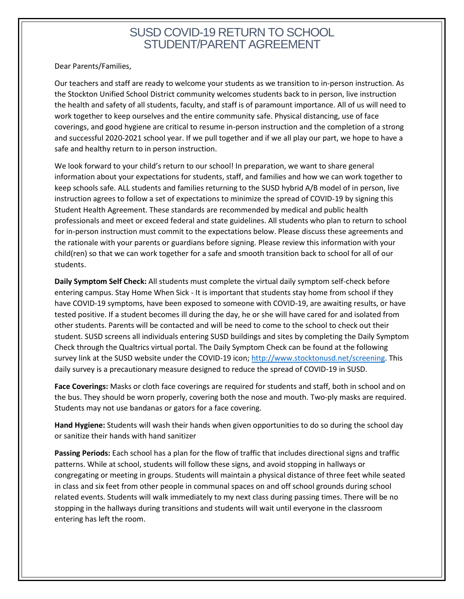## SUSD COVID-19 RETURN TO SCHOOL STUDENT/PARENT AGREEMENT

Dear Parents/Families,

Our teachers and staff are ready to welcome your students as we transition to in-person instruction. As the Stockton Unified School District community welcomes students back to in person, live instruction the health and safety of all students, faculty, and staff is of paramount importance. All of us will need to work together to keep ourselves and the entire community safe. Physical distancing, use of face coverings, and good hygiene are critical to resume in-person instruction and the completion of a strong and successful 2020-2021 school year. If we pull together and if we all play our part, we hope to have a safe and healthy return to in person instruction.

We look forward to your child's return to our school! In preparation, we want to share general information about your expectations for students, staff, and families and how we can work together to keep schools safe. ALL students and families returning to the SUSD hybrid A/B model of in person, live instruction agrees to follow a set of expectations to minimize the spread of COVID-19 by signing this Student Health Agreement. These standards are recommended by medical and public health professionals and meet or exceed federal and state guidelines. All students who plan to return to school for in-person instruction must commit to the expectations below. Please discuss these agreements and the rationale with your parents or guardians before signing. Please review this information with your child(ren) so that we can work together for a safe and smooth transition back to school for all of our students.

**Daily Symptom Self Check:** All students must complete the virtual daily symptom self-check before entering campus. Stay Home When Sick - It is important that students stay home from school if they have COVID-19 symptoms, have been exposed to someone with COVID-19, are awaiting results, or have tested positive. If a student becomes ill during the day, he or she will have cared for and isolated from other students. Parents will be contacted and will be need to come to the school to check out their student. SUSD screens all individuals entering SUSD buildings and sites by completing the Daily Symptom Check through the Qualtrics virtual portal. The Daily Symptom Check can be found at the following survey link at the SUSD website under the COVID-19 icon[; http://www.stocktonusd.net/screening.](http://www.stocktonusd.net/screening) This daily survey is a precautionary measure designed to reduce the spread of COVID-19 in SUSD.

**Face Coverings:** Masks or cloth face coverings are required for students and staff, both in school and on the bus. They should be worn properly, covering both the nose and mouth. Two-ply masks are required. Students may not use bandanas or gators for a face covering.

**Hand Hygiene:** Students will wash their hands when given opportunities to do so during the school day or sanitize their hands with hand sanitizer

**Passing Periods:** Each school has a plan for the flow of traffic that includes directional signs and traffic patterns. While at school, students will follow these signs, and avoid stopping in hallways or congregating or meeting in groups. Students will maintain a physical distance of three feet while seated in class and six feet from other people in communal spaces on and off school grounds during school related events. Students will walk immediately to my next class during passing times. There will be no stopping in the hallways during transitions and students will wait until everyone in the classroom entering has left the room.